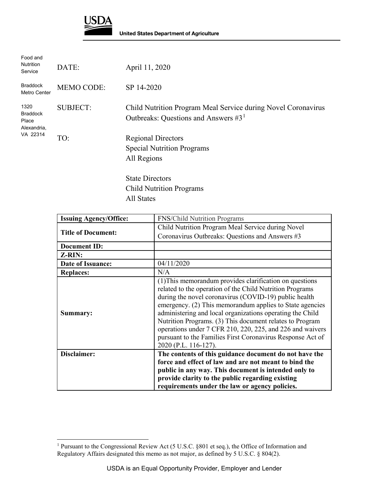

| Food and<br><b>Nutrition</b><br>Service                     | DATE:             | April 11, 2020                                                                                          |
|-------------------------------------------------------------|-------------------|---------------------------------------------------------------------------------------------------------|
| <b>Braddock</b><br>Metro Center                             | <b>MEMO CODE:</b> | SP 14-2020                                                                                              |
| 1320<br><b>Braddock</b><br>Place<br>Alexandria,<br>VA 22314 | <b>SUBJECT:</b>   | Child Nutrition Program Meal Service during Novel Coronavirus<br>Outbreaks: Questions and Answers $#31$ |
|                                                             | TO:               | <b>Regional Directors</b><br><b>Special Nutrition Programs</b><br>All Regions                           |
|                                                             |                   | <b>State Directors</b>                                                                                  |
|                                                             |                   | <b>Child Nutrition Programs</b>                                                                         |

All States

| <b>FNS/Child Nutrition Programs</b>                                                                                                                                                                                                                                                                                                                                                                                                                                                                                  |
|----------------------------------------------------------------------------------------------------------------------------------------------------------------------------------------------------------------------------------------------------------------------------------------------------------------------------------------------------------------------------------------------------------------------------------------------------------------------------------------------------------------------|
| Child Nutrition Program Meal Service during Novel<br>Coronavirus Outbreaks: Questions and Answers #3                                                                                                                                                                                                                                                                                                                                                                                                                 |
|                                                                                                                                                                                                                                                                                                                                                                                                                                                                                                                      |
|                                                                                                                                                                                                                                                                                                                                                                                                                                                                                                                      |
| 04/11/2020                                                                                                                                                                                                                                                                                                                                                                                                                                                                                                           |
| N/A                                                                                                                                                                                                                                                                                                                                                                                                                                                                                                                  |
| (1) This memorandum provides clarification on questions<br>related to the operation of the Child Nutrition Programs<br>during the novel coronavirus (COVID-19) public health<br>emergency. (2) This memorandum applies to State agencies<br>administering and local organizations operating the Child<br>Nutrition Programs. (3) This document relates to Program<br>operations under 7 CFR 210, 220, 225, and 226 and waivers<br>pursuant to the Families First Coronavirus Response Act of<br>2020 (P.L. 116-127). |
| The contents of this guidance document do not have the                                                                                                                                                                                                                                                                                                                                                                                                                                                               |
| force and effect of law and are not meant to bind the                                                                                                                                                                                                                                                                                                                                                                                                                                                                |
| public in any way. This document is intended only to                                                                                                                                                                                                                                                                                                                                                                                                                                                                 |
| provide clarity to the public regarding existing<br>requirements under the law or agency policies.                                                                                                                                                                                                                                                                                                                                                                                                                   |
|                                                                                                                                                                                                                                                                                                                                                                                                                                                                                                                      |

<span id="page-0-0"></span> $\ddot{\phantom{a}}$ <sup>1</sup> Pursuant to the Congressional Review Act (5 U.S.C. §801 et seq.), the Office of Information and Regulatory Affairs designated this memo as not major, as defined by 5 U.S.C. § 804(2).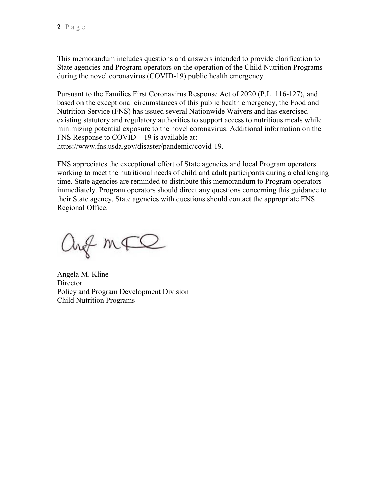This memorandum includes questions and answers intended to provide clarification to State agencies and Program operators on the operation of the Child Nutrition Programs during the novel coronavirus (COVID-19) public health emergency.

Pursuant to the Families First Coronavirus Response Act of 2020 (P.L. 116-127), and based on the exceptional circumstances of this public health emergency, the Food and Nutrition Service (FNS) has issued several Nationwide Waivers and has exercised existing statutory and regulatory authorities to support access to nutritious meals while minimizing potential exposure to the novel coronavirus. Additional information on the FNS Response to COVID—19 is available at: [https://www.fns.usda.gov/disaster/pandemic/covid-19.](https://www.fns.usda.gov/disaster/pandemic/covid-19)

FNS appreciates the exceptional effort of State agencies and local Program operators working to meet the nutritional needs of child and adult participants during a challenging time. State agencies are reminded to distribute this memorandum to Program operators immediately. Program operators should direct any questions concerning this guidance to their State agency. State agencies with questions should contact the appropriate FNS Regional Office.

ang mFQ

Angela M. Kline **Director** Policy and Program Development Division Child Nutrition Programs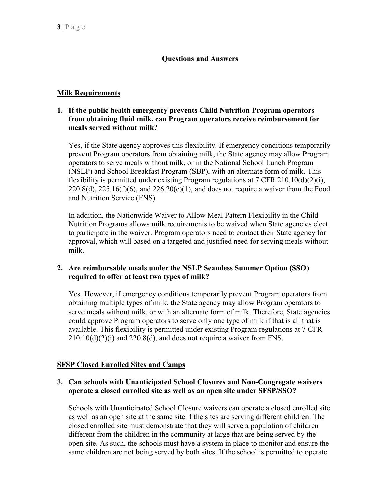## **Questions and Answers**

## **Milk Requirements**

## **1. If the public health emergency prevents Child Nutrition Program operators from obtaining fluid milk, can Program operators receive reimbursement for meals served without milk?**

Yes, if the State agency approves this flexibility. If emergency conditions temporarily prevent Program operators from obtaining milk, the State agency may allow Program operators to serve meals without milk, or in the National School Lunch Program (NSLP) and School Breakfast Program (SBP), with an alternate form of milk. This flexibility is permitted under existing Program regulations at  $7 \text{ CFR } 210.10(d)(2)(i)$ ,  $220.8(d)$ ,  $225.16(f)(6)$ , and  $226.20(e)(1)$ , and does not require a waiver from the Food and Nutrition Service (FNS).

In addition, the Nationwide Waiver to Allow Meal Pattern Flexibility in the Child Nutrition Programs allows milk requirements to be waived when State agencies elect to participate in the waiver. Program operators need to contact their State agency for approval, which will based on a targeted and justified need for serving meals without milk.

### **2. Are reimbursable meals under the NSLP Seamless Summer Option (SSO) required to offer at least two types of milk?**

Yes. However, if emergency conditions temporarily prevent Program operators from obtaining multiple types of milk, the State agency may allow Program operators to serve meals without milk, or with an alternate form of milk. Therefore, State agencies could approve Program operators to serve only one type of milk if that is all that is available. This flexibility is permitted under existing Program regulations at 7 CFR  $210.10(d)(2)(i)$  and  $220.8(d)$ , and does not require a waiver from FNS.

## **SFSP Closed Enrolled Sites and Camps**

## **3. Can schools with Unanticipated School Closures and Non-Congregate waivers operate a closed enrolled site as well as an open site under SFSP/SSO?**

Schools with Unanticipated School Closure waivers can operate a closed enrolled site as well as an open site at the same site if the sites are serving different children. The closed enrolled site must demonstrate that they will serve a population of children different from the children in the community at large that are being served by the open site. As such, the schools must have a system in place to monitor and ensure the same children are not being served by both sites. If the school is permitted to operate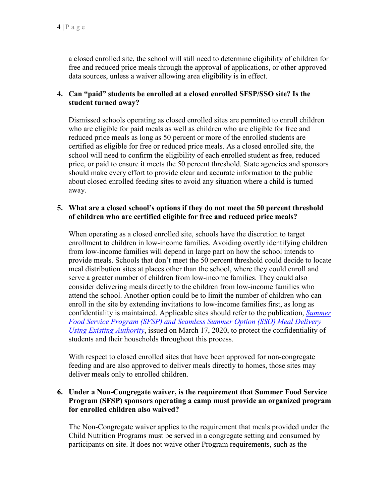a closed enrolled site, the school will still need to determine eligibility of children for free and reduced price meals through the approval of applications, or other approved data sources, unless a waiver allowing area eligibility is in effect.

## **4. Can "paid" students be enrolled at a closed enrolled SFSP/SSO site? Is the student turned away?**

Dismissed schools operating as closed enrolled sites are permitted to enroll children who are eligible for paid meals as well as children who are eligible for free and reduced price meals as long as 50 percent or more of the enrolled students are certified as eligible for free or reduced price meals. As a closed enrolled site, the school will need to confirm the eligibility of each enrolled student as free, reduced price, or paid to ensure it meets the 50 percent threshold. State agencies and sponsors should make every effort to provide clear and accurate information to the public about closed enrolled feeding sites to avoid any situation where a child is turned away.

### **5. What are a closed school's options if they do not meet the 50 percent threshold of children who are certified eligible for free and reduced price meals?**

When operating as a closed enrolled site, schools have the discretion to target enrollment to children in low-income families. Avoiding overtly identifying children from low-income families will depend in large part on how the school intends to provide meals. Schools that don't meet the 50 percent threshold could decide to locate meal distribution sites at places other than the school, where they could enroll and serve a greater number of children from low-income families. They could also consider delivering meals directly to the children from low-income families who attend the school. Another option could be to limit the number of children who can enroll in the site by extending invitations to low-income families first, as long as confidentiality is maintained. Applicable sites should refer to the publication, *[Summer](https://www.fns.usda.gov/sfsp/covid-19-meal-delivery)  [Food Service Program \(SFSP\) and Seamless Summer Option \(SSO\) Meal Delivery](https://www.fns.usda.gov/sfsp/covid-19-meal-delivery)  [Using Existing Authority](https://www.fns.usda.gov/sfsp/covid-19-meal-delivery)*, issued on March 17, 2020, to protect the confidentiality of students and their households throughout this process.

With respect to closed enrolled sites that have been approved for non-congregate feeding and are also approved to deliver meals directly to homes, those sites may deliver meals only to enrolled children.

## **6. Under a Non-Congregate waiver, is the requirement that Summer Food Service Program (SFSP) sponsors operating a camp must provide an organized program for enrolled children also waived?**

The Non-Congregate waiver applies to the requirement that meals provided under the Child Nutrition Programs must be served in a congregate setting and consumed by participants on site. It does not waive other Program requirements, such as the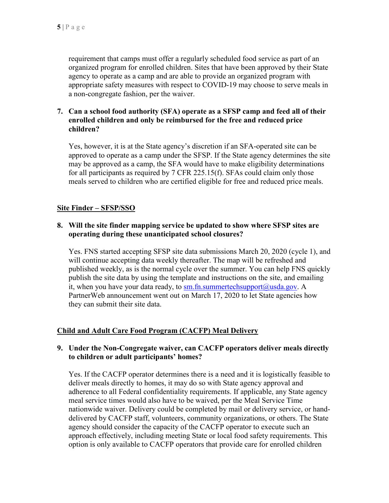requirement that camps must offer a regularly scheduled food service as part of an organized program for enrolled children. Sites that have been approved by their State agency to operate as a camp and are able to provide an organized program with appropriate safety measures with respect to COVID-19 may choose to serve meals in a non-congregate fashion, per the waiver.

### **7. Can a school food authority (SFA) operate as a SFSP camp and feed all of their enrolled children and only be reimbursed for the free and reduced price children?**

Yes, however, it is at the State agency's discretion if an SFA-operated site can be approved to operate as a camp under the SFSP. If the State agency determines the site may be approved as a camp, the SFA would have to make eligibility determinations for all participants as required by 7 CFR 225.15(f). SFAs could claim only those meals served to children who are certified eligible for free and reduced price meals.

### **Site Finder – SFSP/SSO**

## **8. Will the site finder mapping service be updated to show where SFSP sites are operating during these unanticipated school closures?**

Yes. FNS started accepting SFSP site data submissions March 20, 2020 (cycle 1), and will continue accepting data weekly thereafter. The map will be refreshed and published weekly, as is the normal cycle over the summer. You can help FNS quickly publish the site data by using the template and instructions on the site, and emailing it, when you have your data ready, to [sm.fn.summertechsupport@usda.gov.](mailto:sm.fn.summertechsupport@usda.gov) A PartnerWeb announcement went out on March 17, 2020 to let State agencies how they can submit their site data.

## **Child and Adult Care Food Program (CACFP) Meal Delivery**

### **9. Under the Non-Congregate waiver, can CACFP operators deliver meals directly to children or adult participants' homes?**

Yes. If the CACFP operator determines there is a need and it is logistically feasible to deliver meals directly to homes, it may do so with State agency approval and adherence to all Federal confidentiality requirements. If applicable, any State agency meal service times would also have to be waived, per the Meal Service Time nationwide waiver. Delivery could be completed by mail or delivery service, or handdelivered by CACFP staff, volunteers, community organizations, or others. The State agency should consider the capacity of the CACFP operator to execute such an approach effectively, including meeting State or local food safety requirements. This option is only available to CACFP operators that provide care for enrolled children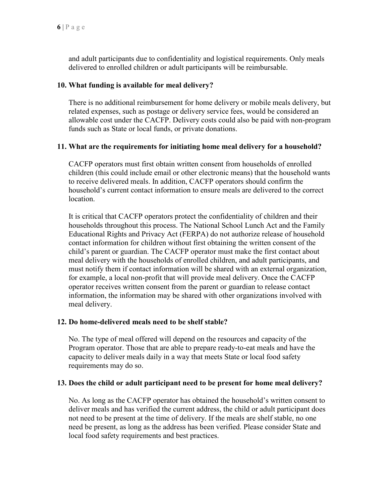and adult participants due to confidentiality and logistical requirements. Only meals delivered to enrolled children or adult participants will be reimbursable.

### **10. What funding is available for meal delivery?**

There is no additional reimbursement for home delivery or mobile meals delivery, but related expenses, such as postage or delivery service fees, would be considered an allowable cost under the CACFP. Delivery costs could also be paid with non-program funds such as State or local funds, or private donations.

### **11. What are the requirements for initiating home meal delivery for a household?**

CACFP operators must first obtain written consent from households of enrolled children (this could include email or other electronic means) that the household wants to receive delivered meals. In addition, CACFP operators should confirm the household's current contact information to ensure meals are delivered to the correct location.

It is critical that CACFP operators protect the confidentiality of children and their households throughout this process. The National School Lunch Act and the Family Educational Rights and Privacy Act (FERPA) do not authorize release of household contact information for children without first obtaining the written consent of the child's parent or guardian. The CACFP operator must make the first contact about meal delivery with the households of enrolled children, and adult participants, and must notify them if contact information will be shared with an external organization, for example, a local non-profit that will provide meal delivery. Once the CACFP operator receives written consent from the parent or guardian to release contact information, the information may be shared with other organizations involved with meal delivery.

#### **12. Do home-delivered meals need to be shelf stable?**

No. The type of meal offered will depend on the resources and capacity of the Program operator. Those that are able to prepare ready-to-eat meals and have the capacity to deliver meals daily in a way that meets State or local food safety requirements may do so.

#### **13. Does the child or adult participant need to be present for home meal delivery?**

No. As long as the CACFP operator has obtained the household's written consent to deliver meals and has verified the current address, the child or adult participant does not need to be present at the time of delivery. If the meals are shelf stable, no one need be present, as long as the address has been verified. Please consider State and local food safety requirements and best practices.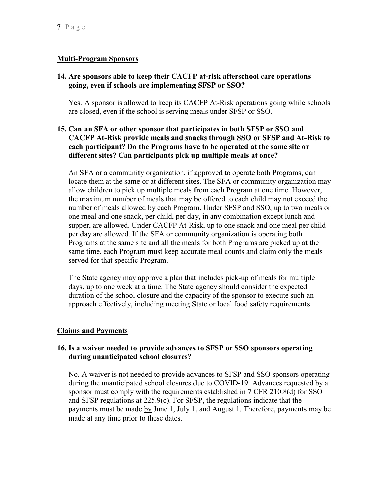## **Multi-Program Sponsors**

## **14. Are sponsors able to keep their CACFP at-risk afterschool care operations going, even if schools are implementing SFSP or SSO?**

Yes. A sponsor is allowed to keep its CACFP At-Risk operations going while schools are closed, even if the school is serving meals under SFSP or SSO.

## **15. Can an SFA or other sponsor that participates in both SFSP or SSO and CACFP At-Risk provide meals and snacks through SSO or SFSP and At-Risk to each participant? Do the Programs have to be operated at the same site or different sites? Can participants pick up multiple meals at once?**

An SFA or a community organization, if approved to operate both Programs, can locate them at the same or at different sites. The SFA or community organization may allow children to pick up multiple meals from each Program at one time. However, the maximum number of meals that may be offered to each child may not exceed the number of meals allowed by each Program. Under SFSP and SSO, up to two meals or one meal and one snack, per child, per day, in any combination except lunch and supper, are allowed. Under CACFP At-Risk, up to one snack and one meal per child per day are allowed. If the SFA or community organization is operating both Programs at the same site and all the meals for both Programs are picked up at the same time, each Program must keep accurate meal counts and claim only the meals served for that specific Program.

The State agency may approve a plan that includes pick-up of meals for multiple days, up to one week at a time. The State agency should consider the expected duration of the school closure and the capacity of the sponsor to execute such an approach effectively, including meeting State or local food safety requirements.

## **Claims and Payments**

### **16. Is a waiver needed to provide advances to SFSP or SSO sponsors operating during unanticipated school closures?**

No. A waiver is not needed to provide advances to SFSP and SSO sponsors operating during the unanticipated school closures due to COVID-19. Advances requested by a sponsor must comply with the requirements established in 7 CFR 210.8(d) for SSO and SFSP regulations at 225.9(c). For SFSP, the regulations indicate that the payments must be made by June 1, July 1, and August 1. Therefore, payments may be made at any time prior to these dates.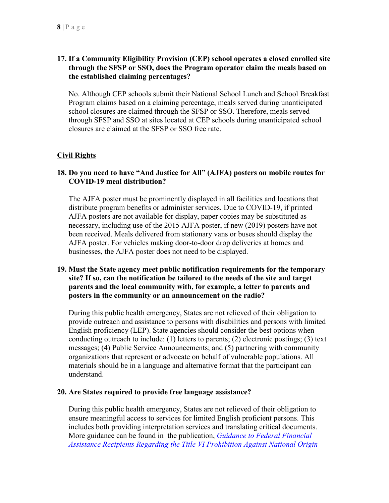## **17. If a Community Eligibility Provision (CEP) school operates a closed enrolled site through the SFSP or SSO, does the Program operator claim the meals based on the established claiming percentages?**

No. Although CEP schools submit their National School Lunch and School Breakfast Program claims based on a claiming percentage, meals served during unanticipated school closures are claimed through the SFSP or SSO. Therefore, meals served through SFSP and SSO at sites located at CEP schools during unanticipated school closures are claimed at the SFSP or SSO free rate.

## **Civil Rights**

## **18. Do you need to have "And Justice for All" (AJFA) posters on mobile routes for COVID-19 meal distribution?**

The AJFA poster must be prominently displayed in all facilities and locations that distribute program benefits or administer services. Due to COVID-19, if printed AJFA posters are not available for display, paper copies may be substituted as necessary, including use of the 2015 AJFA poster, if new (2019) posters have not been received. Meals delivered from stationary vans or buses should display the AJFA poster. For vehicles making door-to-door drop deliveries at homes and businesses, the AJFA poster does not need to be displayed.

### **19. Must the State agency meet public notification requirements for the temporary site? If so, can the notification be tailored to the needs of the site and target parents and the local community with, for example, a letter to parents and posters in the community or an announcement on the radio?**

During this public health emergency, States are not relieved of their obligation to provide outreach and assistance to persons with disabilities and persons with limited English proficiency (LEP). State agencies should consider the best options when conducting outreach to include: (1) letters to parents; (2) electronic postings; (3) text messages; (4) Public Service Announcements; and (5) partnering with community organizations that represent or advocate on behalf of vulnerable populations. All materials should be in a language and alternative format that the participant can understand.

#### **20. Are States required to provide free language assistance?**

During this public health emergency, States are not relieved of their obligation to ensure meaningful access to services for limited English proficient persons. This includes both providing interpretation services and translating critical documents. More guidance can be found in the publication, *[Guidance to Federal Financial](https://www.govinfo.gov/content/pkg/FR-2014-11-28/pdf/2014-27960.pdf)  [Assistance Recipients Regarding the Title VI Prohibition Against National Origin](https://www.govinfo.gov/content/pkg/FR-2014-11-28/pdf/2014-27960.pdf)*